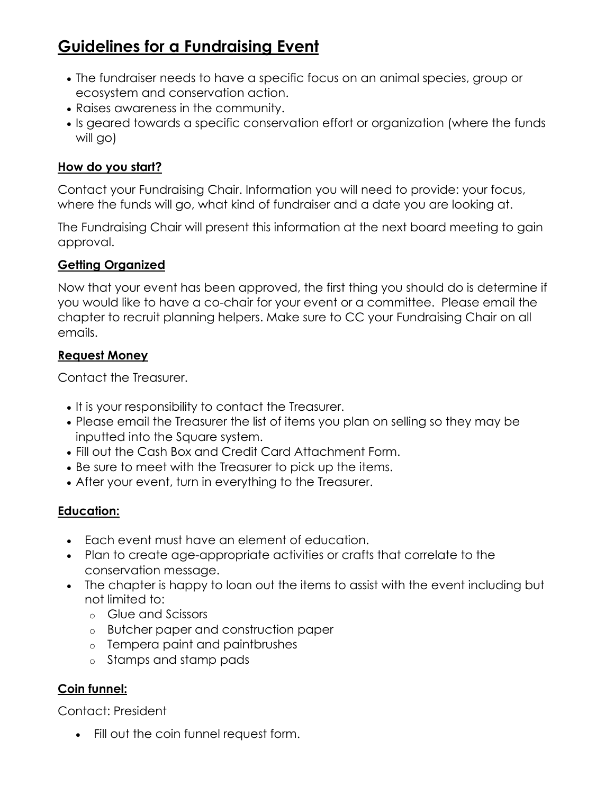# **Guidelines for a Fundraising Event**

- The fundraiser needs to have a specific focus on an animal species, group or ecosystem and conservation action.
- Raises awareness in the community.
- Is geared towards a specific conservation effort or organization (where the funds will go)

## **How do you start?**

Contact your Fundraising Chair. Information you will need to provide: your focus, where the funds will go, what kind of fundraiser and a date you are looking at.

The Fundraising Chair will present this information at the next board meeting to gain approval.

#### **Getting Organized**

Now that your event has been approved, the first thing you should do is determine if you would like to have a co-chair for your event or a committee. Please email the chapter to recruit planning helpers. Make sure to CC your Fundraising Chair on all emails.

#### **Request Money**

Contact the Treasurer.

- It is your responsibility to contact the Treasurer.
- Please email the Treasurer the list of items you plan on selling so they may be inputted into the Square system.
- Fill out the Cash Box and Credit Card Attachment Form.
- Be sure to meet with the Treasurer to pick up the items.
- After your event, turn in everything to the Treasurer.

#### **Education:**

- Each event must have an element of education.
- Plan to create age-appropriate activities or crafts that correlate to the conservation message.
- The chapter is happy to loan out the items to assist with the event including but not limited to:
	- o Glue and Scissors
	- o Butcher paper and construction paper
	- o Tempera paint and paintbrushes
	- o Stamps and stamp pads

#### **Coin funnel:**

Contact: President

Fill out the coin funnel request form.